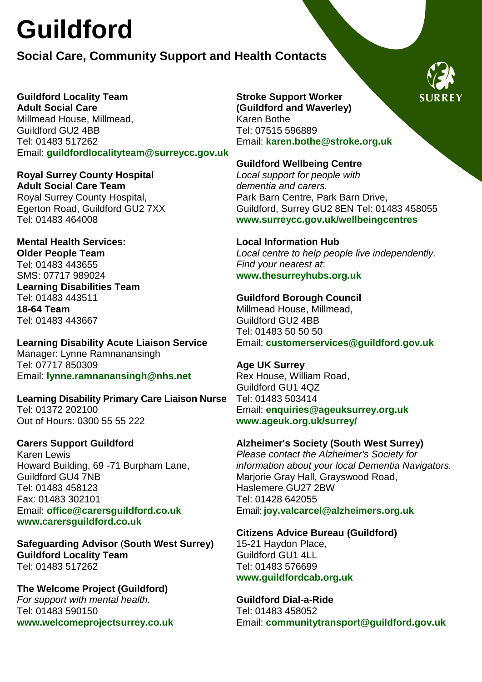# **Guildford**

### **Social Care, Community Support and Health Contacts**

**Guildford Locality Team Adult Social Care**  Millmead House, Millmead, Guildford GU2 4BB Tel: 01483 517262 Email: **[guildfordlocalityteam@surreycc.gov.uk](mailto:guildfordlocalityteam@surreycc.gov.uk)**

**Royal Surrey County Hospital Adult Social Care Team**  Royal Surrey County Hospital, Egerton Road, Guildford GU2 7XX Tel: 01483 464008

**Mental Health Services: Older People Team** Tel: 01483 443655 SMS: 07717 989024 **Learning Disabilities Team**  Tel: 01483 443511 **18-64 Team**  Tel: 01483 443667

**Learning Disability Acute Liaison Service** Manager: Lynne Ramnanansingh Tel: 07717 850309 Email: **[lynne.ramnanansingh@nhs.net](mailto:lynne.ramnanansingh@nhs.net)**

**Learning Disability Primary Care Liaison Nurse** Tel: 01372 202100 Out of Hours: 0300 55 55 222

#### **Carers Support Guildford**

Karen Lewis Howard Building, 69 -71 Burpham Lane, Guildford GU4 7NB Tel: 01483 458123 Fax: 01483 302101 Email: **[office@carersguildford.co.uk](mailto:office@carersguildford.co.uk) [www.carersguildford.co.uk](http://www.carersguildford.co.uk/)** 

**Safeguarding Advisor** (**South West Surrey) Guildford Locality Team** Tel: 01483 517262

**The Welcome Project (Guildford)** *For support with mental health.* Tel: 01483 590150 **[www.welcomeprojectsurrey.co.uk](http://www.welcomeprojectsurrey.co.uk/)** **Stroke Support Worker (Guildford and Waverley)**  Karen Bothe Tel: 07515 596889 Email: **[karen.bothe@stroke.org.uk](mailto:karen.bothe@stroke.org.uk)**

#### **Guildford Wellbeing Centre**

*Local support for people with dementia and carers.*  Park Barn Centre, Park Barn Drive, Guildford, Surrey GU2 8EN Tel: 01483 458055 **[www.surreycc.gov.uk/wellbeingcentres](http://www.surreycc.gov.uk/wellbeingcentres)**

**Local Information Hub**  *Local centre to help people live independently. Find your nearest at*: **[www.thesurreyhubs.org.uk](http://www.thesurreyhubs.org.uk/)**

**Guildford Borough Council**  Millmead House, Millmead, Guildford GU2 4BB Tel: 01483 50 50 50 Email: **[customerservices@guildford.gov.uk](mailto:customerservices@guildford.gov.uk)**

**Age UK Surrey**  Rex House, William Road, Guildford GU1 4QZ Tel: 01483 503414 Email: **[enquiries@ageuksurrey.org.uk](mailto:enquiries@ageuksurrey.org.uk) [www.ageuk.org.uk/surrey/](http://www.ageuk.org.uk/surrey/)**

**Alzheimer's Society (South West Surrey)**  *Please contact the Alzheimer's Society for information about your local Dementia Navigators.* Marjorie Gray Hall, Grayswood Road, Haslemere GU27 2BW Tel: 01428 642055

Email: **[joy.valcarcel@alzheimers.org.uk](mailto:joy.valcarcel@alzheimers.org.uk)**

**Citizens Advice Bureau (Guildford)**

15-21 Haydon Place, Guildford GU1 4LL Tel: 01483 576699 **[www.guildfordcab.org.uk](http://www.guildfordcab.org.uk/)** 

**Guildford Dial-a-Ride**  Tel: 01483 458052 Email: **[communitytransport@guildford.gov.uk](mailto:communitytransport@guildford.gov.uk)**